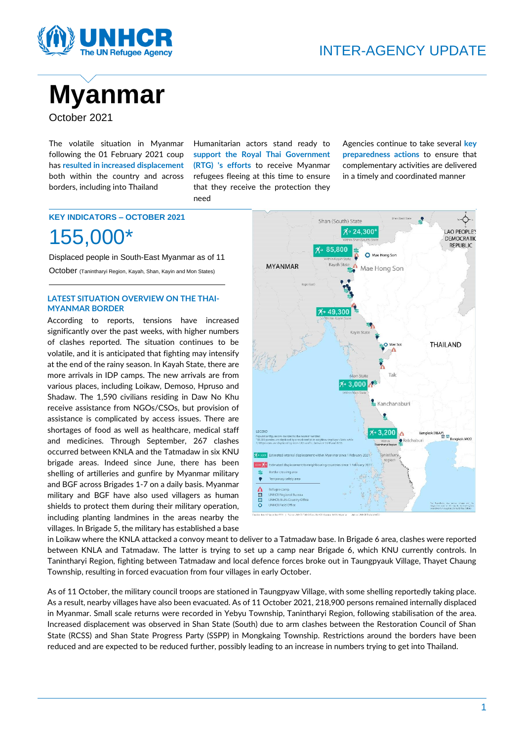



The volatile situation in Myanmar following the 01 February 2021 coup has **resulted in increased displacement** both within the country and across borders, including into Thailand

Humanitarian actors stand ready to **support the Royal Thai Government (RTG) 's efforts** to receive Myanmar refugees fleeing at this time to ensure that they receive the protection they need

Agencies continue to take several **key preparedness actions** to ensure that complementary activities are delivered in a timely and coordinated manner

## **KEY INDICATORS – OCTOBER 2021** 155,000\*

Displaced people in South-East Myanmar as of 11 October (Tanintharyi Region, Kayah, Shan, Kayin and Mon States)

#### **LATEST SITUATION OVERVIEW ON THE THAI-MYANMAR BORDER**

According to reports, tensions have increased significantly over the past weeks, with higher numbers of clashes reported. The situation continues to be volatile, and it is anticipated that fighting may intensify at the end of the rainy season. In Kayah State, there are more arrivals in IDP camps. The new arrivals are from various places, including Loikaw, Demoso, Hpruso and Shadaw. The 1,590 civilians residing in Daw No Khu receive assistance from NGOs/CSOs, but provision of assistance is complicated by access issues. There are shortages of food as well as healthcare, medical staff and medicines. Through September, 267 clashes occurred between KNLA and the Tatmadaw in six KNU brigade areas. Indeed since June, there has been shelling of artilleries and gunfire by Myanmar military and BGF across Brigades 1-7 on a daily basis. Myanmar military and BGF have also used villagers as human shields to protect them during their military operation, including planting landmines in the areas nearby the villages. In Brigade 5, the military has established a base



in Loikaw where the KNLA attacked a convoy meant to deliver to a Tatmadaw base. In Brigade 6 area, clashes were reported between KNLA and Tatmadaw. The latter is trying to set up a camp near Brigade 6, which KNU currently controls. In Tanintharyi Region, fighting between Tatmadaw and local defence forces broke out in Taungpyauk Village, Thayet Chaung Township, resulting in forced evacuation from four villages in early October.

As of 11 October, the military council troops are stationed in Taungpyaw Village, with some shelling reportedly taking place. As a result, nearby villages have also been evacuated. As of 11 October 2021, 218,900 persons remained internally displaced in Myanmar. Small scale returns were recorded in Yebyu Township, Tanintharyi Region, following stabilisation of the area. Increased displacement was observed in Shan State (South) due to arm clashes between the Restoration Council of Shan State (RCSS) and Shan State Progress Party (SSPP) in Mongkaing Township. Restrictions around the borders have been reduced and are expected to be reduced further, possibly leading to an increase in numbers trying to get into Thailand.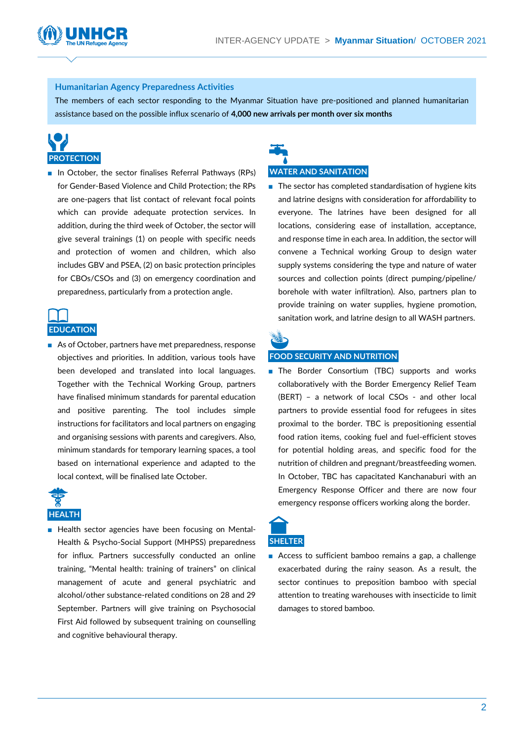#### **Humanitarian Agency Preparedness Activities**

The members of each sector responding to the Myanmar Situation have pre-positioned and planned humanitarian assistance based on the possible influx scenario of **4,000 new arrivals per month over six months**

# **PROTECTION**

■ In October, the sector finalises Referral Pathways (RPs) for Gender-Based Violence and Child Protection; the RPs are one-pagers that list contact of relevant focal points which can provide adequate protection services. In addition, during the third week of October, the sector will give several trainings (1) on people with specific needs and protection of women and children, which also includes GBV and PSEA, (2) on basic protection principles for CBOs/CSOs and (3) on emergency coordination and preparedness, particularly from a protection angle.

## **EDUCATION**

■ As of October, partners have met preparedness, response objectives and priorities. In addition, various tools have been developed and translated into local languages. Together with the Technical Working Group, partners have finalised minimum standards for parental education and positive parenting. The tool includes simple instructions for facilitators and local partners on engaging and organising sessions with parents and caregivers. Also, minimum standards for temporary learning spaces, a tool based on international experience and adapted to the local context, will be finalised late October.



■ Health sector agencies have been focusing on Mental-Health & Psycho-Social Support (MHPSS) preparedness for influx. Partners successfully conducted an online training, "Mental health: training of trainers" on clinical management of acute and general psychiatric and alcohol/other substance-related conditions on 28 and 29 September. Partners will give training on Psychosocial First Aid followed by subsequent training on counselling and cognitive behavioural therapy.

## **WATER AND SANITATION**

■ The sector has completed standardisation of hygiene kits and latrine designs with consideration for affordability to everyone. The latrines have been designed for all locations, considering ease of installation, acceptance, and response time in each area. In addition, the sector will convene a Technical working Group to design water supply systems considering the type and nature of water sources and collection points (direct pumping/pipeline/ borehole with water infiltration). Also, partners plan to provide training on water supplies, hygiene promotion, sanitation work, and latrine design to all WASH partners.



#### **FOOD SECURITY AND NUTRITION**

■ The Border Consortium (TBC) supports and works collaboratively with the Border Emergency Relief Team (BERT) – a network of local CSOs - and other local partners to provide essential food for refugees in sites proximal to the border. TBC is prepositioning essential food ration items, cooking fuel and fuel-efficient stoves for potential holding areas, and specific food for the nutrition of children and pregnant/breastfeeding women. In October, TBC has capacitated Kanchanaburi with an Emergency Response Officer and there are now four emergency response officers working along the border.



■ Access to sufficient bamboo remains a gap, a challenge exacerbated during the rainy season. As a result, the sector continues to preposition bamboo with special attention to treating warehouses with insecticide to limit damages to stored bamboo.